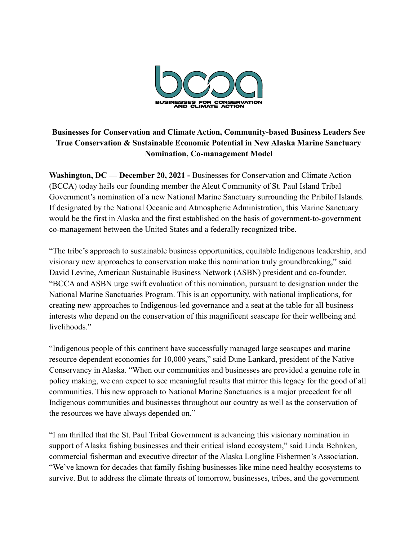

## **Businesses for Conservation and Climate Action, Community-based Business Leaders See True Conservation & Sustainable Economic Potential in New Alaska Marine Sanctuary Nomination, Co-management Model**

**Washington, DC — December 20, 2021 -** Businesses for Conservation and Climate Action (BCCA) today hails our founding member the Aleut Community of St. Paul Island Tribal Government's nomination of a new National Marine Sanctuary surrounding the Pribilof Islands. If designated by the National Oceanic and Atmospheric Administration, this Marine Sanctuary would be the first in Alaska and the first established on the basis of government-to-government co-management between the United States and a federally recognized tribe.

"The tribe's approach to sustainable business opportunities, equitable Indigenous leadership, and visionary new approaches to conservation make this nomination truly groundbreaking," said David Levine, American Sustainable Business Network (ASBN) president and co-founder. "BCCA and ASBN urge swift evaluation of this nomination, pursuant to designation under the National Marine Sanctuaries Program. This is an opportunity, with national implications, for creating new approaches to Indigenous-led governance and a seat at the table for all business interests who depend on the conservation of this magnificent seascape for their wellbeing and livelihoods."

"Indigenous people of this continent have successfully managed large seascapes and marine resource dependent economies for 10,000 years," said Dune Lankard, president of the Native Conservancy in Alaska. "When our communities and businesses are provided a genuine role in policy making, we can expect to see meaningful results that mirror this legacy for the good of all communities. This new approach to National Marine Sanctuaries is a major precedent for all Indigenous communities and businesses throughout our country as well as the conservation of the resources we have always depended on."

"I am thrilled that the St. Paul Tribal Government is advancing this visionary nomination in support of Alaska fishing businesses and their critical island ecosystem," said Linda Behnken, commercial fisherman and executive director of the Alaska Longline Fishermen's Association. "We've known for decades that family fishing businesses like mine need healthy ecosystems to survive. But to address the climate threats of tomorrow, businesses, tribes, and the government